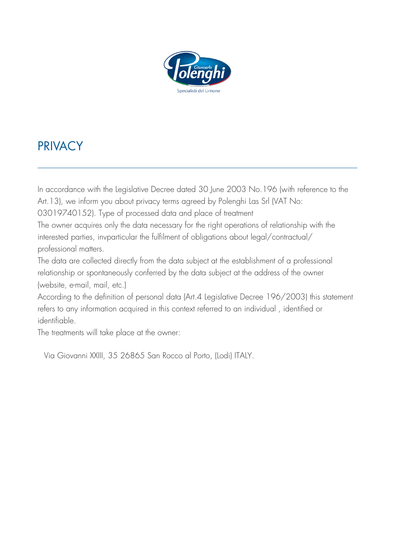

# **PRIVACY**

In accordance with the Legislative Decree dated 30 June 2003 No.196 (with reference to the Art.13), we inform you about privacy terms agreed by Polenghi Las Srl (VAT No:

03019740152). Type of processed data and place of treatment

The owner acquires only the data necessary for the right operations of relationship with the interested parties, invparticular the fulfilment of obligations about legal/contractual/ professional matters.

The data are collected directly from the data subject at the establishment of a professional relationship or spontaneously conferred by the data subject at the address of the owner (website, e-mail, mail, etc.)

According to the definition of personal data (Art.4 Legislative Decree 196/2003) this statement refers to any information acquired in this context referred to an individual , identified or identifiable.

The treatments will take place at the owner:

Via Giovanni XXIII, 35 26865 San Rocco al Porto, (Lodi) ITALY.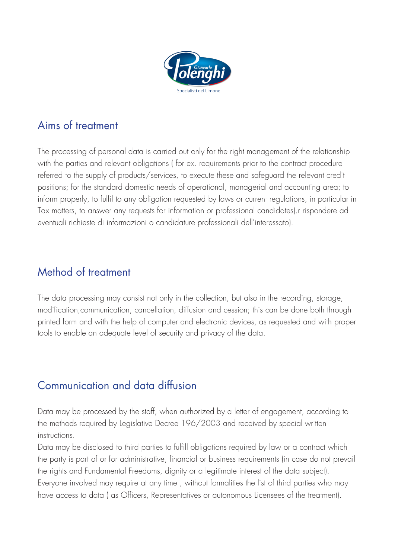

### Aims of treatment

The processing of personal data is carried out only for the right management of the relationship with the parties and relevant obligations ( for ex. requirements prior to the contract procedure referred to the supply of products/services, to execute these and safeguard the relevant credit positions; for the standard domestic needs of operational, managerial and accounting area; to inform properly, to fulfil to any obligation requested by laws or current regulations, in particular in Tax matters, to answer any requests for information or professional candidates).r rispondere ad eventuali richieste di informazioni o candidature professionali dell'interessato).

### Method of treatment

The data processing may consist not only in the collection, but also in the recording, storage, modification,communication, cancellation, diffusion and cession; this can be done both through printed form and with the help of computer and electronic devices, as requested and with proper tools to enable an adequate level of security and privacy of the data.

### Communication and data diffusion

Data may be processed by the staff, when authorized by a letter of engagement, according to the methods required by Legislative Decree 196/2003 and received by special written instructions.

Data may be disclosed to third parties to fulfill obligations required by law or a contract which the party is part of or for administrative, financial or business requirements (in case do not prevail the rights and Fundamental Freedoms, dignity or a legitimate interest of the data subject). Everyone involved may require at any time , without formalities the list of third parties who may have access to data ( as Officers, Representatives or autonomous Licensees of the treatment).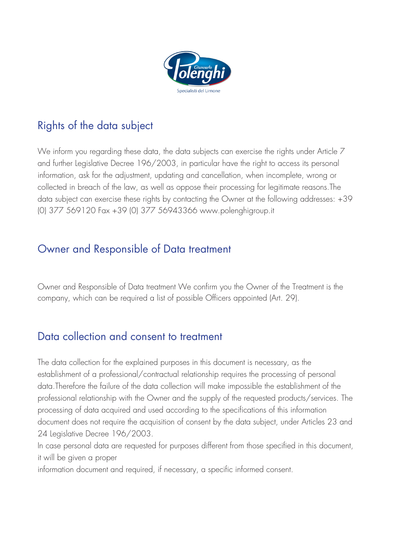

## Rights of the data subject

We inform you regarding these data, the data subjects can exercise the rights under Article 7 and further Legislative Decree 196/2003, in particular have the right to access its personal information, ask for the adjustment, updating and cancellation, when incomplete, wrong or collected in breach of the law, as well as oppose their processing for legitimate reasons.The data subject can exercise these rights by contacting the Owner at the following addresses: +39 (0) 377 569120 Fax +39 (0) 377 56943366 www.polenghigroup.it

#### Owner and Responsible of Data treatment

Owner and Responsible of Data treatment We confirm you the Owner of the Treatment is the company, which can be required a list of possible Officers appointed (Art. 29).

### Data collection and consent to treatment

The data collection for the explained purposes in this document is necessary, as the establishment of a professional/contractual relationship requires the processing of personal data.Therefore the failure of the data collection will make impossible the establishment of the professional relationship with the Owner and the supply of the requested products/services. The processing of data acquired and used according to the specifications of this information document does not require the acquisition of consent by the data subject, under Articles 23 and 24 Legislative Decree 196/2003.

In case personal data are requested for purposes different from those specified in this document, it will be given a proper

information document and required, if necessary, a specific informed consent.